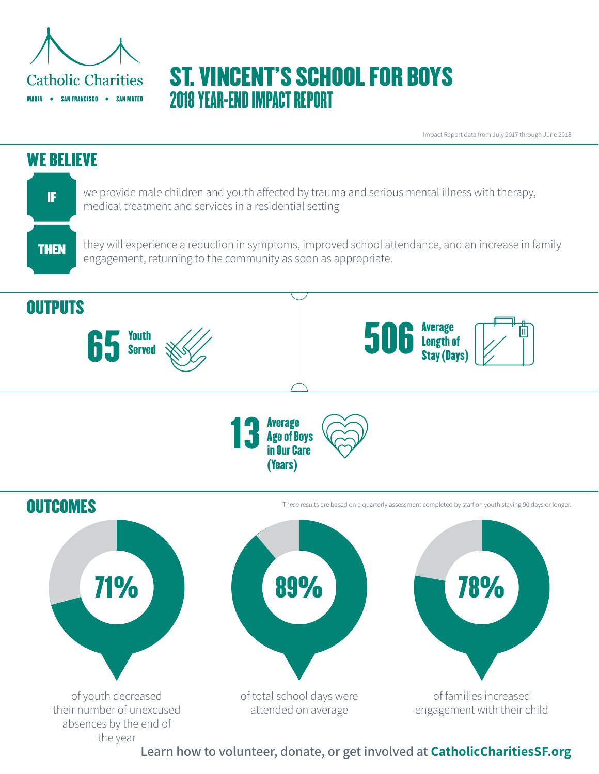

# ST. VINCENT'S SCHOOL FOR BOYS 2018 YEAR-END IMPACT REPORT

Impact Report data from July 2017 through June 2018



**Learn how to volunteer, donate, or get involved at CatholicCharitiesSF.org**